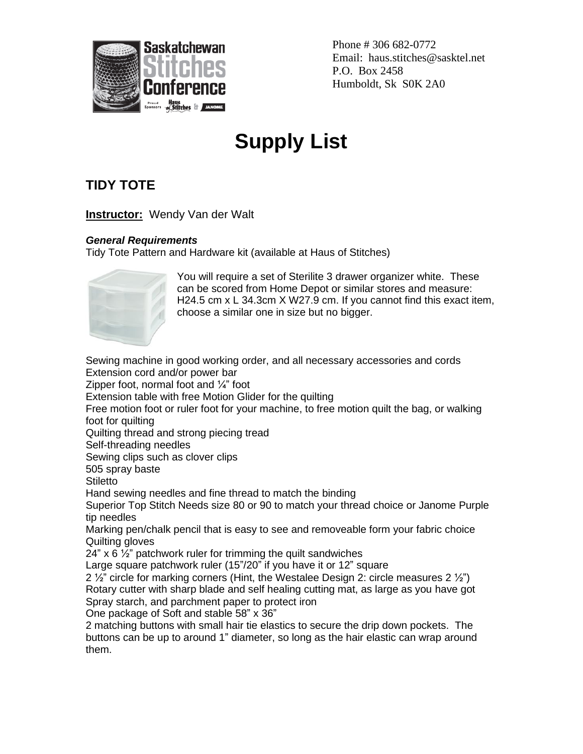

Phone # 306 682-0772 Email: haus.stitches@sasktel.net P.O. Box 2458 Humboldt, Sk S0K 2A0

## **Supply List**

## **TIDY TOTE**

**Instructor:** Wendy Van der Walt

## *General Requirements*

Tidy Tote Pattern and Hardware kit (available at Haus of Stitches)



You will require a set of Sterilite 3 drawer organizer white. These can be scored from Home Depot or similar stores and measure: H24.5 cm x L 34.3cm X W27.9 cm. If you cannot find this exact item, choose a similar one in size but no bigger.

Sewing machine in good working order, and all necessary accessories and cords Extension cord and/or power bar Zipper foot, normal foot and ¼" foot Extension table with free Motion Glider for the quilting Free motion foot or ruler foot for your machine, to free motion quilt the bag, or walking foot for quilting Quilting thread and strong piecing tread Self-threading needles Sewing clips such as clover clips 505 spray baste **Stiletto** Hand sewing needles and fine thread to match the binding Superior Top Stitch Needs size 80 or 90 to match your thread choice or Janome Purple tip needles Marking pen/chalk pencil that is easy to see and removeable form your fabric choice Quilting gloves 24"  $\times$  6  $\frac{1}{2}$ " patchwork ruler for trimming the quilt sandwiches Large square patchwork ruler (15"/20" if you have it or 12" square 2  $\frac{1}{2}$  circle for marking corners (Hint, the Westalee Design 2; circle measures 2  $\frac{1}{2}$ ) Rotary cutter with sharp blade and self healing cutting mat, as large as you have got Spray starch, and parchment paper to protect iron One package of Soft and stable 58" x 36" 2 matching buttons with small hair tie elastics to secure the drip down pockets. The buttons can be up to around 1" diameter, so long as the hair elastic can wrap around them.